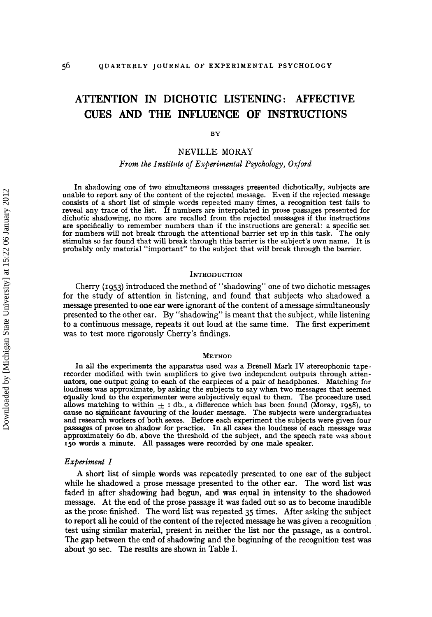# **ATTENTION IN DICHOTIC LISTENING** : **AFFECTIVE CUES AND THE INFLUENCE OF INSTRUCTIONS**

**BY** 

NEVILLE **MORAY** 

*From the Institute of Experimental Psychology, Oxford* 

In shadowing one of two simultaneous messages presented dichotically, subjects are unable to report any of the content of the rejected message. Even if the rejected message consists **of** a short list **of** simple words repeated many times, a recognition test fails to reveal any trace of the list. If numbers are interpolated in prose passages presented for dichotic shadowing, no more are recalled from the rejected messages if the instructions are specifically to remember numbers than if the instructions are general: a specific set for numbers will not break through the attentional barrier set up in this task. The only stimulus so far found that will break through this barrier is the subject's own name. It is probably only material "important" to the subject that will break through the barrier.

## **INTRODUCTION**

Cherry **(1953)** introduced the method of "shadowing" one of two dichotic messages for the study of attention in listening, and found that subjects who shadowed a message presented to one ear were ignorant *of* the content **of** amessage simultaneously presented to the other ear. By "shadowing" is meant that the subject, while listening to a continuous message, repeats it out loud at the same time. The first experiment was to test more rigorously Cherry's findings.

#### METHOD

In all the experiments the apparatus used was a Brenell Mark IV stereophonic taperecorder modified with twin amplifiers to give two independent outputs through attenuators, one output going to each of the earpieces **of** a pair of headphones. Matching for loudness was approximate, by asking the subjects to say when two messages that seemed equally loud to the experimenter were subjectively equal *to* them. The proceedure used allows matching to within  $\pm$  I db., a difference which has been found (Moray, **1958)**, to cause no significant favouring of the louder message. The subjects were undergraduates and research workers of both sexes. Before each experiment the subjects were given four passages of prose to **shadow** for practice. In all cases the loudness of each message was approximately *60* db. above the threshold of the subject, and the speech rate was about **150** words a minute. All passages were recorded by one male speaker.

#### *Experiment I*

**A** short list **of** simple words was repeatedly presented to one ear **of** the subject while he shadowed a prose message presented to the other ear. The word list was faded in after shadowing had begun, and was equal in intensity to the shadowed message. At the end of the prose passage it was faded out so **as** to become inaudible as the prose finished. The word list was repeated **35** times. After asking the subject to report all he could of the content **of** the rejected message he was given a recognition test using similar material, present in neither the list nor the passage, as a control. The gap between the end of shadowing and the beginning of the recognition test was about **30** sec. The results are shown in Table **I.**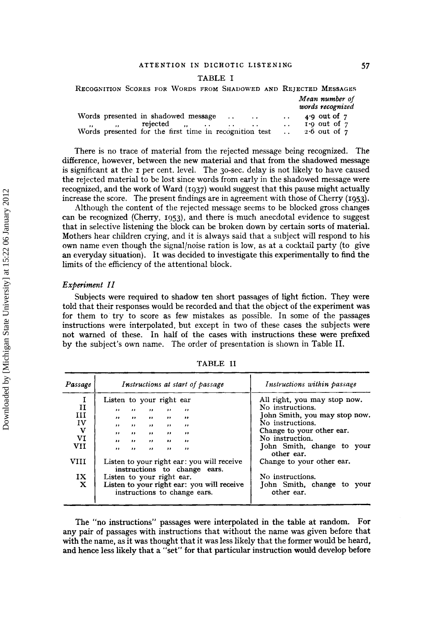#### TABLE I

RECOGNITION SCORES **FOR WORDS** PROM SHADOWED *AND* REJECTED **MESSAGES**  *Mean number of words recognized* 

|  |                                                                              | <b>WOI WO TOOOKINGOV</b> |
|--|------------------------------------------------------------------------------|--------------------------|
|  | Words presented in shadowed message                                          | $4.9$ out of $7$         |
|  |                                                                              | $\ldots$ ro out of $7$   |
|  | Words presented for the first time in recognition test $\ldots$ 2.6 out of 7 |                          |

There is no trace of material from the rejected message being recognized. The difference, however, between the new material and that from the shadowed message is significant at the I per cent. level. The 30-sec. delay is not likely to have caused the rejected material to be lost since words from early in the shadowed message were recognized, and the work of Ward **(1937)** would suggest that this pause might actually increase the score. The present findings are in agreement with those of Cherry **(1953).** 

Although the content of the rejected message seems to be blocked gross changes can be recognized (Cherry, 1953), and there is much anecdotal evidence to suggest that in selective listening the block can be broken down by certain sorts of material. Mothers hear children crying, and it is always said that a subject will respond to his own name even though the signal/noise ration is low, as at a cocktail party (to give an everyday situation). It was decided to investigate this experimentally to find the limits of the efficiency of the attentional block.

## *Experiment II*

Subjects were required to shadow ten short passages of light fiction. They were told that their responses would be recorded and that the object of the experiment was for them to try to score as few mistakes as possible. In some of the passages instructions were interpolated, but except in two of these cases the subjects were not warned **of** these. In half of the cases with instructions these were prefixed by the subject's own name. The order of presentation is shown in Table 11.

| Passage      | Instructions at start of passage                                                 | Instructions within passage<br>All right, you may stop now. |  |
|--------------|----------------------------------------------------------------------------------|-------------------------------------------------------------|--|
| 1            | Listen to your right ear                                                         |                                                             |  |
| $\mathbf{H}$ | $\mathbf{v}$<br>$\cdots$<br>$\mathbf{B}$<br>$\cdots$<br>$\bullet$                | No instructions.                                            |  |
| Ш            | $\mathbf{B}$<br>$\bullet$ $\bullet$<br>$\mathbf{B}$ and $\mathbf{B}$<br>$\cdots$ | John Smith, you may stop now.                               |  |
| IV           | $\mathbf{H}$<br>$\mathbf{r}$<br>$\cdots$<br>$\bullet$<br>$\bullet$               | No instructions.                                            |  |
| $\mathbf{V}$ | $\mathbf{B}$<br>$\cdots$<br>$\cdots$<br>$\bullet$ $\bullet$<br>$, \, \cdot$      | Change to your other ear.                                   |  |
| VI           | $\mathbf{r}$<br>$\mathbf{r}$<br>$\bullet$<br>$\mathbf{r}$<br>$\bullet$           | No instruction.                                             |  |
| VII          | $\bullet$<br>$\mathbf{B}$<br>$\mathbf{r}$<br>$\bullet$<br>$\bullet$              | John Smith, change to your<br>other ear.                    |  |
| VIII         | Listen to your right ear: you will receive<br>instructions to change ears.       | Change to your other ear.                                   |  |
| IX           | Listen to your right ear.                                                        | No instructions.                                            |  |
| x            | Listen to your right ear: you will receive<br>instructions to change ears.       | John Smith, change to your<br>other ear.                    |  |

TABLE I1

The "no instructions" passages were interpolated in the table at random. For any pair of passages with instructions that without the name was given before that with the name, as it was thought that it was less likely that the former would be heard, and hence less likely that a "set" for that particular instruction **would** develop before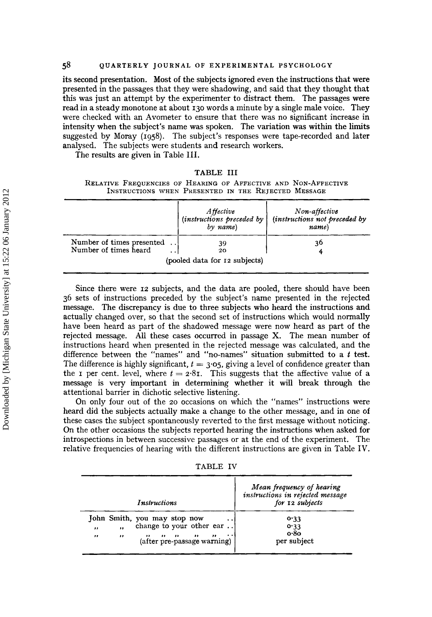## *58* **QUARTERLY JOURNAL OF EXPERIMENTAL PSYCHOLOGY**

its second presentation. Most of the subjects ignored even the instructions that were presented in the passages that they were shadowing, and said that they thought that this was just an attempt by the experimenter to distract them. The passages were read in a steady monotone at about **130** words a minute by a single male voice. They were checked with an Avometer to ensure that there was no significant increase in intensity when the subject's name was spoken. The variation was within the limits suggested by Moray (1958). The subject's responses were tape-recorded and later analysed. The subjects were students and research workers.

The results are given in Table **111.** 

#### **TABLE** I11

RELATIVE FREQUENCIES OF HEARING OF AFFECTIVE AND NON-AFFECTIVE INSTRUCTIONS **WHEN** PRESENTED IN **THE** REJECTED MESSAGE

|                           | Affective<br> instructions preceded by \ <br>by name) | Non-affective<br>(instructions not preceded by<br>name) |
|---------------------------|-------------------------------------------------------|---------------------------------------------------------|
| Number of times presented |                                                       | 36                                                      |
| Number of times heard     | 20                                                    |                                                         |
|                           | (pooled data for 12 subjects)                         |                                                         |

Since there were **12** subjects, and the data are pooled, there should have been **36** sets of instructions preceded by the subject's name presented in the rejected message. The discrepancy is due to three subjects who heard the instructions **and**  actually changed over, so that the second set of instructions which would normally have been heard as part of the shadowed message were now heard as part of the rejected message. All these cases occurred in passage **X.** The mean number **of**  instructions heard when presented in the rejected message was calculated, and the difference between the "names" and "no-names" situation submitted to a *t* test. The difference is highly significant,  $t = 3.05$ , giving a level of confidence greater than the I per cent. level, where  $t = 2.8$ I. This suggests that the affective value of a message is very important in determining whether it will break through the attentional barrier in dichotic selective listening.

On only four out of the 20 occasions on which the "names" instructions were heard did the subjects actually make **a** change to the other message, and in one **of**  these cases the subject spontaneously reverted to the first message without noticing. On the other occasions the subjects reported hearing the instructions when asked for introspections in between successive passages or at the end of the experiment. The relative frequencies of hearing with the different instructions are given in Table IV.

TABLE IV

| <i>Instructions</i> |    |                                                                                                                 | Mean frequency of hearing<br>instructions in rejected message<br>for 12 subjects |
|---------------------|----|-----------------------------------------------------------------------------------------------------------------|----------------------------------------------------------------------------------|
|                     |    | John Smith, you may stop now                                                                                    | 0.33                                                                             |
| $\bullet$           | ,, | change to your other ear                                                                                        | 0.33                                                                             |
| $\bullet$           | ,, | $\ddot{\phantom{1}}$<br>$\mathbf{y} = \mathbf{y} - \mathbf{y}$<br>$\cdots$<br>,,<br>(after pre-passage warning) | $o$ ·80<br>per subject                                                           |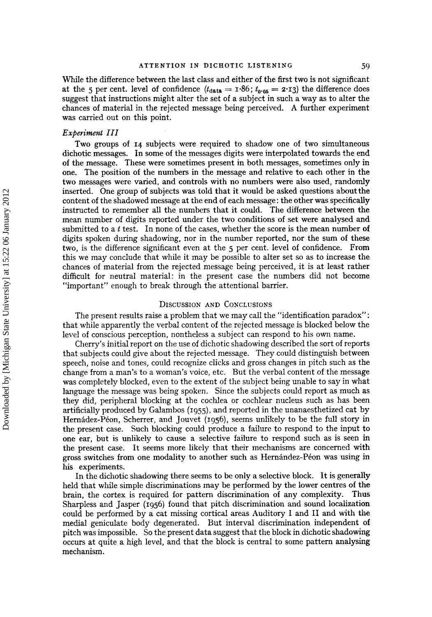While the difference between the last class and either of the first two is not significant at the 5 per cent. level of confidence  $(t_{\text{data}} = \mathbf{1} \cdot 86; t_{\text{0.05}} = \mathbf{2} \cdot \mathbf{1} \cdot 3)$  the difference does suggest that instructions might alter the set of a subject in such a way as to alter the chances of material in the rejected message being perceived. **A** further experiment was carried out on this point.

#### *Exfierimed 111*

Two groups of **14** subjects were required to shadow one of two simultaneous dichotic messages. In some of the messages digits were interpolated towards the end of the message. These were sometimes present in both messages, sometimes only in one. The position of the numbers in the message and relative to each other in the two messages were vaned, and controls with no numbers were also used, randomly inserted. One group of subjects was told that it would be asked questions aboutthe content of the shadowed message at the end of each message: the other was specifically instructed to remember all the numbers that it could. The difference between the mean number of digits reported under the two conditions of set were analysed and submitted to a *t* test. In none of the cases, whether the score is the mean number **of**  digits spoken during shadowing, nor in the number reported, nor the sum of these two, is the difference significant even at the 5 per cent. level of confidence. From this we may conclude that while it may be possible to alter set so as to increase the chances of material from the rejected message being perceived, it is at least rather difficult for neutral material: in the present case the numbers did not become "important" enough to break through the attentional barrier.

## DISCUSSION **AND** CONCLUSIONS

The present results raise a problem that we may call the "identification paradox": that while apparently the verbal content of the rejected message is blocked below the level of conscious perception, nontheless a subject can respond to his own name.

Cherry's initial report on the use of dichotic shadowing described the sort of reports that subjects could give about the rejected message. They could distinguish between speech, noise and tones, could recognize clicks and gross changes in pitch such as the change from a man's to a woman's voice, etc. But the verbal content of the message was completely blocked, even to the extent of the subject being unable to say in what language the message was being spoken. Since the subjects could report as much as they did, peripheral blocking at the cochlea or cochlear nucleus such as has been artificially produced by Galambos **(1955),** and reported in the unanaesthetized cat by Hernádez-Péon, Scherrer, and Jouvet *(1956)*, seems unlikely to be the full story in the present case. Such blocking could produce a failure to respond to the input to one ear, but is unlikely to cause a selective failure to respond such as is seen in the present case. It seems more likely that their mechanisms are concerned with gross switches from one modality to another such as Hernández-Péon was using in his experiments.

In the dichotic shadowing there seems to be only a selective block. It is generally held that while simple discriminations may be performed by the lower centres of the brain, the cortex is required for pattern discrimination of any complexity. Thus Sharpless and Jasper (1956) found that pitch discrimination and sound localization could be performed by a cat missing cortical areas Auditory I and I1 and with the medial geniculate body degenerated. But interval discrimination independent **of**  pitch was impossible. So the present data suggest that the block in dichotic shadowing occurs at quite a high level, and that the block is central to some pattern analysing mechanism.